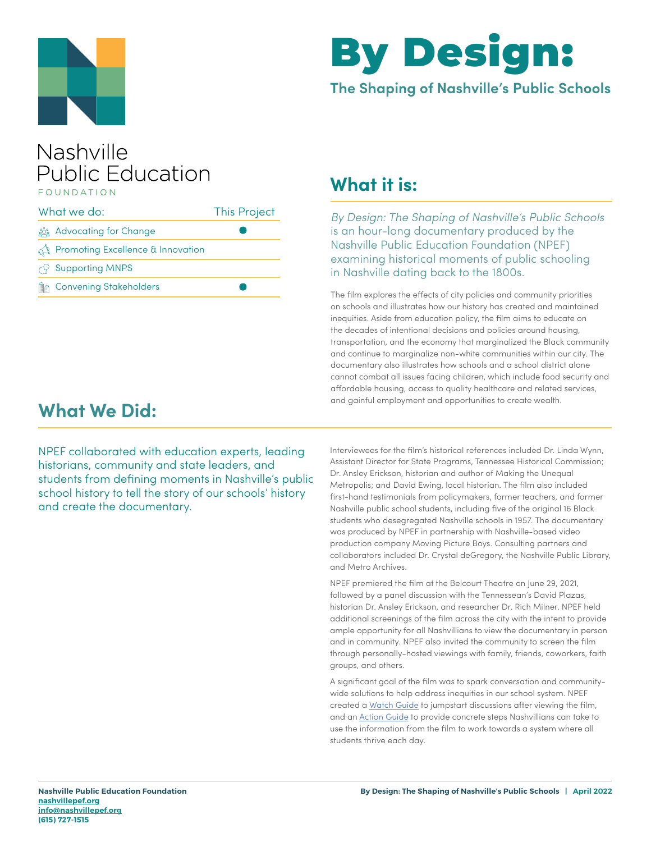



#### **The Shaping of Nashville's Public Schools**

#### Nashville **Public Education** FOUNDATION

| What we do: |                                                  | <b>This Project</b> |
|-------------|--------------------------------------------------|---------------------|
|             | <u>క్రిక్కి</u> Advocating for Change            |                     |
|             | <b>The Promoting Excellence &amp; Innovation</b> |                     |
|             | $\curvearrowright$ Supporting MNPS               |                     |
| 侧高          | <b>Convening Stakeholders</b>                    |                     |

### **What it is:**

By Design: The Shaping of Nashville's Public Schools is an hour-long documentary produced by the Nashville Public Education Foundation (NPEF) examining historical moments of public schooling in Nashville dating back to the 1800s.

The film explores the effects of city policies and community priorities on schools and illustrates how our history has created and maintained inequities. Aside from education policy, the film aims to educate on the decades of intentional decisions and policies around housing, transportation, and the economy that marginalized the Black community and continue to marginalize non-white communities within our city. The documentary also illustrates how schools and a school district alone cannot combat all issues facing children, which include food security and affordable housing, access to quality healthcare and related services, and gainful employment and opportunities to create wealth.

## **What We Did:**

NPEF collaborated with education experts, leading historians, community and state leaders, and students from defining moments in Nashville's public school history to tell the story of our schools' history and create the documentary.

Interviewees for the film's historical references included Dr. Linda Wynn, Assistant Director for State Programs, Tennessee Historical Commission; Dr. Ansley Erickson, historian and author of Making the Unequal Metropolis; and David Ewing, local historian. The film also included first-hand testimonials from policymakers, former teachers, and former Nashville public school students, including five of the original 16 Black students who desegregated Nashville schools in 1957. The documentary was produced by NPEF in partnership with Nashville-based video production company Moving Picture Boys. Consulting partners and collaborators included Dr. Crystal deGregory, the Nashville Public Library, and Metro Archives.

NPEF premiered the film at the Belcourt Theatre on June 29, 2021, followed by a panel discussion with the Tennessean's David Plazas, historian Dr. Ansley Erickson, and researcher Dr. Rich Milner. NPEF held additional screenings of the film across the city with the intent to provide ample opportunity for all Nashvillians to view the documentary in person and in community. NPEF also invited the community to screen the film through personally-hosted viewings with family, friends, coworkers, faith groups, and others.

A significant goal of the film was to spark conversation and communitywide solutions to help address inequities in our school system. NPEF created a [Watch Guide](https://nashvillepef.org/wp-content/uploads/2021/07/By-Design-Watch-Guide.pdf) to jumpstart discussions after viewing the film, and an [Action Guide](https://nashvillepef.org/wp-content/uploads/2021/06/By-Design-Action-Guide.pdf) to provide concrete steps Nashvillians can take to use the information from the film to work towards a system where all students thrive each day.